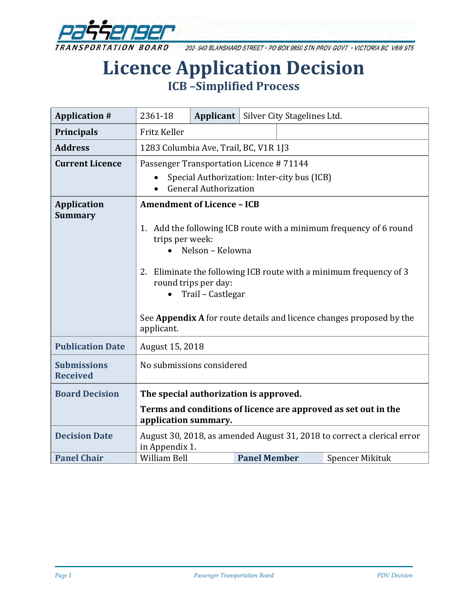

202-940 BLANSHARD STREET . PO BOX 9850 STN PROV GOVT . VICTORIA BC V8W 9T5

# **Licence Application Decision ICB –Simplified Process**

| <b>Application #</b>                  | 2361-18                                                                                                         | Applicant |                     | Silver City Stagelines Ltd. |                        |
|---------------------------------------|-----------------------------------------------------------------------------------------------------------------|-----------|---------------------|-----------------------------|------------------------|
| <b>Principals</b>                     | Fritz Keller                                                                                                    |           |                     |                             |                        |
| <b>Address</b>                        | 1283 Columbia Ave, Trail, BC, V1R 1J3                                                                           |           |                     |                             |                        |
| <b>Current Licence</b>                | Passenger Transportation Licence #71144                                                                         |           |                     |                             |                        |
|                                       | Special Authorization: Inter-city bus (ICB)<br><b>General Authorization</b>                                     |           |                     |                             |                        |
| <b>Application</b><br><b>Summary</b>  | <b>Amendment of Licence - ICB</b><br>Add the following ICB route with a minimum frequency of 6 round<br>1.      |           |                     |                             |                        |
|                                       | trips per week:<br>Nelson - Kelowna                                                                             |           |                     |                             |                        |
|                                       | 2. Eliminate the following ICB route with a minimum frequency of 3<br>round trips per day:<br>Trail - Castlegar |           |                     |                             |                        |
|                                       | See Appendix A for route details and licence changes proposed by the<br>applicant.                              |           |                     |                             |                        |
| <b>Publication Date</b>               | August 15, 2018                                                                                                 |           |                     |                             |                        |
| <b>Submissions</b><br><b>Received</b> | No submissions considered                                                                                       |           |                     |                             |                        |
| <b>Board Decision</b>                 | The special authorization is approved.                                                                          |           |                     |                             |                        |
|                                       | Terms and conditions of licence are approved as set out in the<br>application summary.                          |           |                     |                             |                        |
| <b>Decision Date</b>                  | August 30, 2018, as amended August 31, 2018 to correct a clerical error<br>in Appendix 1.                       |           |                     |                             |                        |
| <b>Panel Chair</b>                    | William Bell                                                                                                    |           | <b>Panel Member</b> |                             | <b>Spencer Mikituk</b> |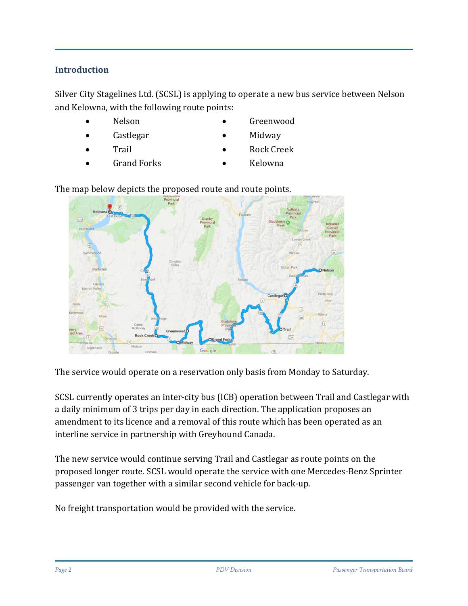### **Introduction**

Silver City Stagelines Ltd. (SCSL) is applying to operate a new bus service between Nelson and Kelowna, with the following route points:

- Nelson
- Castlegar
- **Trail**

• Midway

• Greenwood

- Rock Creek
- Grand Forks
- Kelowna

The map below depicts the proposed route and route points.



The service would operate on a reservation only basis from Monday to Saturday.

SCSL currently operates an inter-city bus (ICB) operation between Trail and Castlegar with a daily minimum of 3 trips per day in each direction. The application proposes an amendment to its licence and a removal of this route which has been operated as an interline service in partnership with Greyhound Canada.

The new service would continue serving Trail and Castlegar as route points on the proposed longer route. SCSL would operate the service with one Mercedes-Benz Sprinter passenger van together with a similar second vehicle for back-up.

No freight transportation would be provided with the service.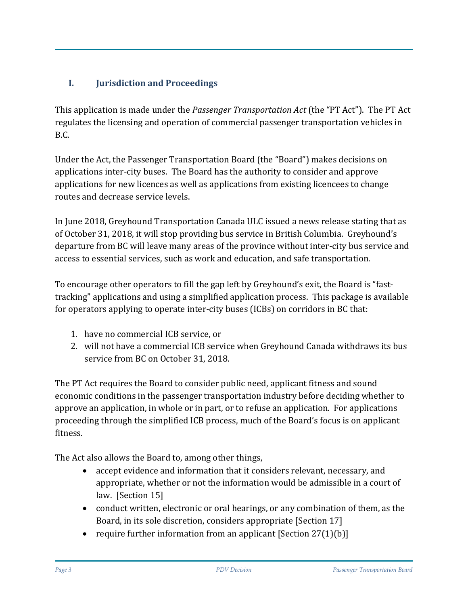# **I. Jurisdiction and Proceedings**

This application is made under the *Passenger Transportation Act* (the "PT Act"). The PT Act regulates the licensing and operation of commercial passenger transportation vehicles in B.C.

Under the Act, the Passenger Transportation Board (the "Board") makes decisions on applications inter-city buses. The Board has the authority to consider and approve applications for new licences as well as applications from existing licencees to change routes and decrease service levels.

In June 2018, Greyhound Transportation Canada ULC issued a news release stating that as of October 31, 2018, it will stop providing bus service in British Columbia. Greyhound's departure from BC will leave many areas of the province without inter-city bus service and access to essential services, such as work and education, and safe transportation.

To encourage other operators to fill the gap left by Greyhound's exit, the Board is "fasttracking" applications and using a simplified application process. This package is available for operators applying to operate inter-city buses (ICBs) on corridors in BC that:

- 1. have no commercial ICB service, or
- 2. will not have a commercial ICB service when Greyhound Canada [withdraws its bus](https://www.newswire.ca/news-releases/greyhound-canada-to-downsize-its-canadian-business-based-on-a-41-decline-in-ridership-since-2010-687687091.html)  [service](https://www.newswire.ca/news-releases/greyhound-canada-to-downsize-its-canadian-business-based-on-a-41-decline-in-ridership-since-2010-687687091.html) from BC on October 31, 2018.

The PT Act requires the Board to consider public need, applicant fitness and sound economic conditions in the passenger transportation industry before deciding whether to approve an application, in whole or in part, or to refuse an application. For applications proceeding through the simplified ICB process, much of the Board's focus is on applicant fitness.

The Act also allows the Board to, among other things,

- accept evidence and information that it considers relevant, necessary, and appropriate, whether or not the information would be admissible in a court of law. [Section 15]
- conduct written, electronic or oral hearings, or any combination of them, as the Board, in its sole discretion, considers appropriate [Section 17]
- require further information from an applicant  $[Section 27(1)(b)]$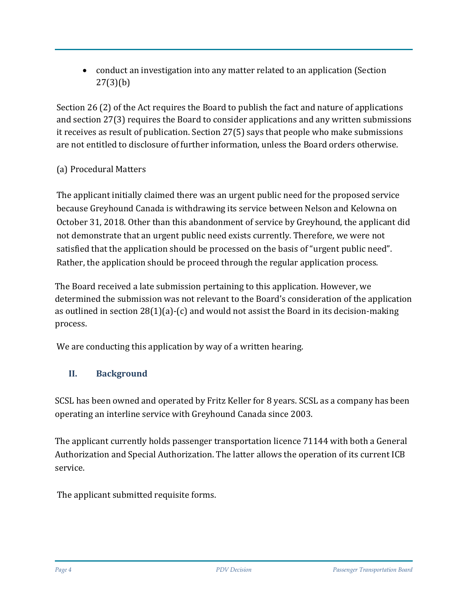• conduct an investigation into any matter related to an application (Section 27(3)(b)

Section 26 (2) of the Act requires the Board to publish the fact and nature of applications and section 27(3) requires the Board to consider applications and any written submissions it receives as result of publication. Section 27(5) says that people who make submissions are not entitled to disclosure of further information, unless the Board orders otherwise.

## (a) Procedural Matters

The applicant initially claimed there was an urgent public need for the proposed service because Greyhound Canada is withdrawing its service between Nelson and Kelowna on October 31, 2018. Other than this abandonment of service by Greyhound, the applicant did not demonstrate that an urgent public need exists currently. Therefore, we were not satisfied that the application should be processed on the basis of "urgent public need". Rather, the application should be proceed through the regular application process.

The Board received a late submission pertaining to this application. However, we determined the submission was not relevant to the Board's consideration of the application as outlined in section 28(1)(a)-(c) and would not assist the Board in its decision-making process.

We are conducting this application by way of a written hearing.

# **II. Background**

SCSL has been owned and operated by Fritz Keller for 8 years. SCSL as a company has been operating an interline service with Greyhound Canada since 2003.

The applicant currently holds passenger transportation licence 71144 with both a General Authorization and Special Authorization. The latter allows the operation of its current ICB service.

The applicant submitted requisite forms.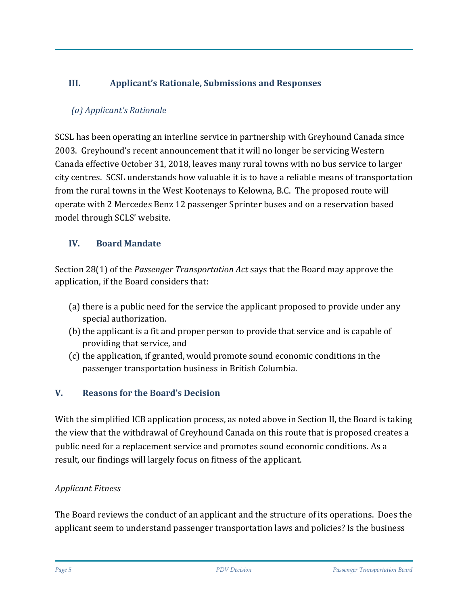# **III. Applicant's Rationale, Submissions and Responses**

# *(a) Applicant's Rationale*

SCSL has been operating an interline service in partnership with Greyhound Canada since 2003. Greyhound's recent announcement that it will no longer be servicing Western Canada effective October 31, 2018, leaves many rural towns with no bus service to larger city centres. SCSL understands how valuable it is to have a reliable means of transportation from the rural towns in the West Kootenays to Kelowna, B.C. The proposed route will operate with 2 Mercedes Benz 12 passenger Sprinter buses and on a reservation based model through SCLS' website.

## **IV. Board Mandate**

Section 28(1) of the *Passenger Transportation Act* says that the Board may approve the application, if the Board considers that:

- (a) there is a public need for the service the applicant proposed to provide under any special authorization.
- (b) the applicant is a fit and proper person to provide that service and is capable of providing that service, and
- (c) the application, if granted, would promote sound economic conditions in the passenger transportation business in British Columbia.

# **V. Reasons for the Board's Decision**

With the simplified ICB application process, as noted above in Section II, the Board is taking the view that the withdrawal of Greyhound Canada on this route that is proposed creates a public need for a replacement service and promotes sound economic conditions. As a result, our findings will largely focus on fitness of the applicant.

# *Applicant Fitness*

The Board reviews the conduct of an applicant and the structure of its operations. Does the applicant seem to understand passenger transportation laws and policies? Is the business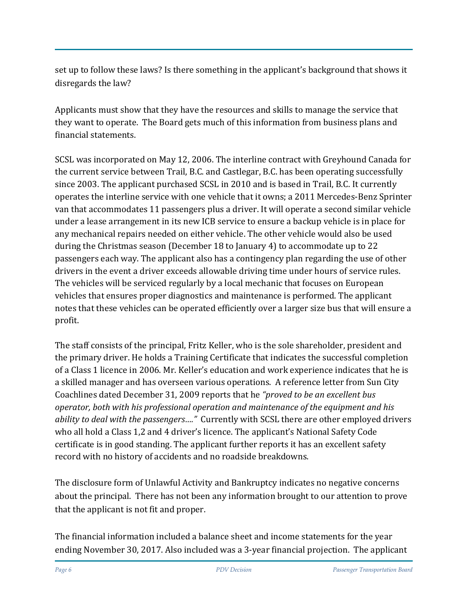set up to follow these laws? Is there something in the applicant's background that shows it disregards the law?

Applicants must show that they have the resources and skills to manage the service that they want to operate. The Board gets much of this information from business plans and financial statements.

SCSL was incorporated on May 12, 2006. The interline contract with Greyhound Canada for the current service between Trail, B.C. and Castlegar, B.C. has been operating successfully since 2003. The applicant purchased SCSL in 2010 and is based in Trail, B.C. It currently operates the interline service with one vehicle that it owns; a 2011 Mercedes-Benz Sprinter van that accommodates 11 passengers plus a driver. It will operate a second similar vehicle under a lease arrangement in its new ICB service to ensure a backup vehicle is in place for any mechanical repairs needed on either vehicle. The other vehicle would also be used during the Christmas season (December 18 to January 4) to accommodate up to 22 passengers each way. The applicant also has a contingency plan regarding the use of other drivers in the event a driver exceeds allowable driving time under hours of service rules. The vehicles will be serviced regularly by a local mechanic that focuses on European vehicles that ensures proper diagnostics and maintenance is performed. The applicant notes that these vehicles can be operated efficiently over a larger size bus that will ensure a profit.

The staff consists of the principal, Fritz Keller, who is the sole shareholder, president and the primary driver. He holds a Training Certificate that indicates the successful completion of a Class 1 licence in 2006. Mr. Keller's education and work experience indicates that he is a skilled manager and has overseen various operations. A reference letter from Sun City Coachlines dated December 31, 2009 reports that he *"proved to be an excellent bus operator, both with his professional operation and maintenance of the equipment and his ability to deal with the passengers…."* Currently with SCSL there are other employed drivers who all hold a Class 1,2 and 4 driver's licence. The applicant's National Safety Code certificate is in good standing. The applicant further reports it has an excellent safety record with no history of accidents and no roadside breakdowns.

The disclosure form of Unlawful Activity and Bankruptcy indicates no negative concerns about the principal. There has not been any information brought to our attention to prove that the applicant is not fit and proper.

The financial information included a balance sheet and income statements for the year ending November 30, 2017. Also included was a 3-year financial projection. The applicant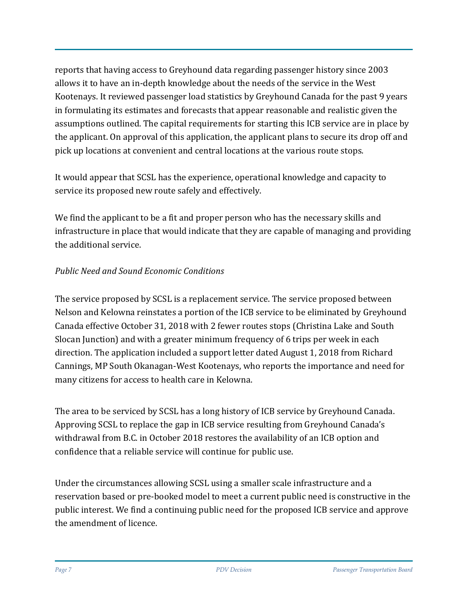reports that having access to Greyhound data regarding passenger history since 2003 allows it to have an in-depth knowledge about the needs of the service in the West Kootenays. It reviewed passenger load statistics by Greyhound Canada for the past 9 years in formulating its estimates and forecasts that appear reasonable and realistic given the assumptions outlined. The capital requirements for starting this ICB service are in place by the applicant. On approval of this application, the applicant plans to secure its drop off and pick up locations at convenient and central locations at the various route stops.

It would appear that SCSL has the experience, operational knowledge and capacity to service its proposed new route safely and effectively.

We find the applicant to be a fit and proper person who has the necessary skills and infrastructure in place that would indicate that they are capable of managing and providing the additional service.

## *Public Need and Sound Economic Conditions*

The service proposed by SCSL is a replacement service. The service proposed between Nelson and Kelowna reinstates a portion of the ICB service to be eliminated by Greyhound Canada effective October 31, 2018 with 2 fewer routes stops (Christina Lake and South Slocan Junction) and with a greater minimum frequency of 6 trips per week in each direction. The application included a support letter dated August 1, 2018 from Richard Cannings, MP South Okanagan-West Kootenays, who reports the importance and need for many citizens for access to health care in Kelowna.

The area to be serviced by SCSL has a long history of ICB service by Greyhound Canada. Approving SCSL to replace the gap in ICB service resulting from Greyhound Canada's withdrawal from B.C. in October 2018 restores the availability of an ICB option and confidence that a reliable service will continue for public use.

Under the circumstances allowing SCSL using a smaller scale infrastructure and a reservation based or pre-booked model to meet a current public need is constructive in the public interest. We find a continuing public need for the proposed ICB service and approve the amendment of licence.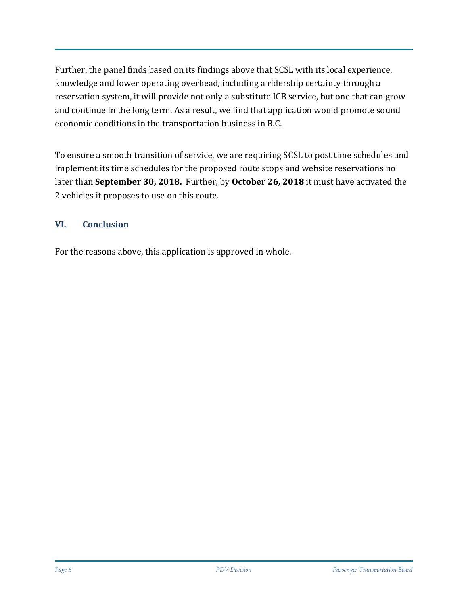Further, the panel finds based on its findings above that SCSL with its local experience, knowledge and lower operating overhead, including a ridership certainty through a reservation system, it will provide not only a substitute ICB service, but one that can grow and continue in the long term. As a result, we find that application would promote sound economic conditions in the transportation business in B.C.

To ensure a smooth transition of service, we are requiring SCSL to post time schedules and implement its time schedules for the proposed route stops and website reservations no later than **September 30, 2018.** Further, by **October 26, 2018** it must have activated the 2 vehicles it proposes to use on this route.

## **VI. Conclusion**

For the reasons above, this application is approved in whole.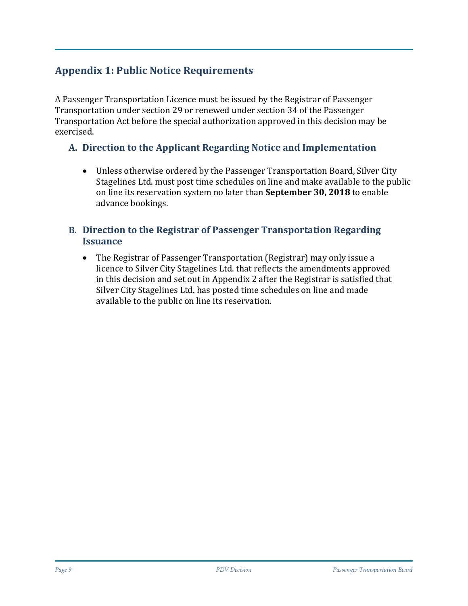# **Appendix 1: Public Notice Requirements**

A Passenger Transportation Licence must be issued by the Registrar of Passenger Transportation under section 29 or renewed under section 34 of the Passenger Transportation Act before the special authorization approved in this decision may be exercised.

## **A. Direction to the Applicant Regarding Notice and Implementation**

• Unless otherwise ordered by the Passenger Transportation Board, Silver City Stagelines Ltd. must post time schedules on line and make available to the public on line its reservation system no later than **September 30, 2018** to enable advance bookings.

#### **B. Direction to the Registrar of Passenger Transportation Regarding Issuance**

• The Registrar of Passenger Transportation (Registrar) may only issue a licence to Silver City Stagelines Ltd. that reflects the amendments approved in this decision and set out in Appendix 2 after the Registrar is satisfied that Silver City Stagelines Ltd. has posted time schedules on line and made available to the public on line its reservation.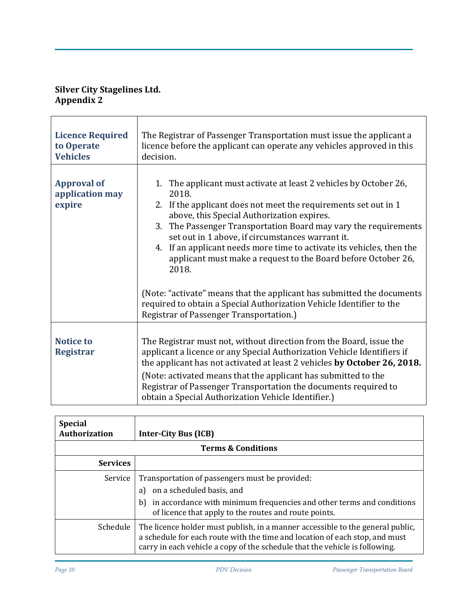#### **Silver City Stagelines Ltd. Appendix 2**

| <b>Licence Required</b><br>to Operate<br><b>Vehicles</b> | The Registrar of Passenger Transportation must issue the applicant a<br>licence before the applicant can operate any vehicles approved in this<br>decision.                                                                                                                                                                                                                                                                                                                                                                                                                                                                |  |  |
|----------------------------------------------------------|----------------------------------------------------------------------------------------------------------------------------------------------------------------------------------------------------------------------------------------------------------------------------------------------------------------------------------------------------------------------------------------------------------------------------------------------------------------------------------------------------------------------------------------------------------------------------------------------------------------------------|--|--|
| <b>Approval of</b><br>application may<br>expire          | 1. The applicant must activate at least 2 vehicles by October 26,<br>2018.<br>2. If the applicant does not meet the requirements set out in 1<br>above, this Special Authorization expires.<br>3.<br>The Passenger Transportation Board may vary the requirements<br>set out in 1 above, if circumstances warrant it.<br>4. If an applicant needs more time to activate its vehicles, then the<br>applicant must make a request to the Board before October 26,<br>2018.<br>(Note: "activate" means that the applicant has submitted the documents<br>required to obtain a Special Authorization Vehicle Identifier to the |  |  |
| <b>Notice to</b><br><b>Registrar</b>                     | Registrar of Passenger Transportation.)<br>The Registrar must not, without direction from the Board, issue the<br>applicant a licence or any Special Authorization Vehicle Identifiers if<br>the applicant has not activated at least 2 vehicles by October 26, 2018.<br>(Note: activated means that the applicant has submitted to the<br>Registrar of Passenger Transportation the documents required to<br>obtain a Special Authorization Vehicle Identifier.)                                                                                                                                                          |  |  |

| <b>Special</b><br>Authorization | <b>Inter-City Bus (ICB)</b>                                                                                                                                                                                                                  |  |  |  |  |
|---------------------------------|----------------------------------------------------------------------------------------------------------------------------------------------------------------------------------------------------------------------------------------------|--|--|--|--|
| <b>Terms &amp; Conditions</b>   |                                                                                                                                                                                                                                              |  |  |  |  |
| <b>Services</b>                 |                                                                                                                                                                                                                                              |  |  |  |  |
| Service                         | Transportation of passengers must be provided:<br>on a scheduled basis, and<br>a)<br>b) in accordance with minimum frequencies and other terms and conditions<br>of licence that apply to the routes and route points.                       |  |  |  |  |
| Schedule                        | The licence holder must publish, in a manner accessible to the general public,<br>a schedule for each route with the time and location of each stop, and must<br>carry in each vehicle a copy of the schedule that the vehicle is following. |  |  |  |  |